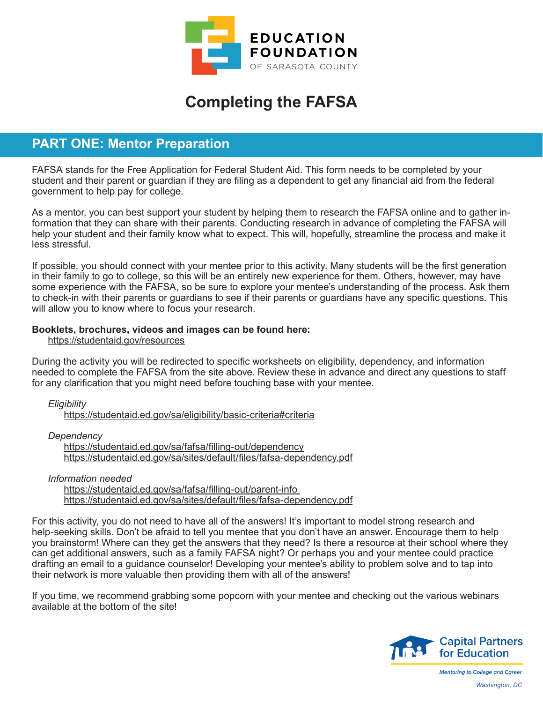

# **Completing the FAFSA**

### **PART ONE: Mentor Preparation**

FAFSA stands for the Free Application for Federal Student Aid. This form needs to be completed by your student and their parent or guardian if they are filing as a dependent to get any financial aid from the federal government to help pay for college.

As a mentor, you can best support your student by helping them to research the FAFSA online and to gather information that they can share with their parents. Conducting research in advance of completing the FAFSA will help your student and their family know what to expect. This will, hopefully, streamline the process and make it less stressful.

If possible, you should connect with your mentee prior to this activity. Many students will be the first generation in their family to go to college, so this will be an entirely new experience for them. Others, however, may have some experience with the FAFSA, so be sure to explore your mentee's understanding of the process. Ask them to check-in with their parents or guardians to see if their parents or guardians have any specific questions. This will allow you to know where to focus your research.

#### **Booklets, brochures, videos and images can be found here:**

https://studentaid.gov/resources

During the activity you will be redirected to specific worksheets on eligibility, dependency, and information needed to complete the FAFSA from the site above. Review these in advance and direct any questions to staff for any clarification that you might need before touching base with your mentee.

*Eligibility*

https://studentaid.ed.gov/sa/eligibility/basic-criteria#criteria

*Dependency*

https://studentaid.ed.gov/sa/fafsa/filling-out/dependency https://studentaid.ed.gov/sa/sites/default/files/fafsa-dependency.pdf

*Information needed*

https://studentaid.ed.gov/sa/fafsa/filling-out/parent-info https://studentaid.ed.gov/sa/sites/default/files/fafsa-dependency.pdf

For this activity, you do not need to have all of the answers! It's important to model strong research and help-seeking skills. Don't be afraid to tell you mentee that you don't have an answer. Encourage them to help you brainstorm! Where can they get the answers that they need? Is there a resource at their school where they can get additional answers, such as a family FAFSA night? Or perhaps you and your mentee could practice drafting an email to a guidance counselor! Developing your mentee's ability to problem solve and to tap into their network is more valuable then providing them with all of the answers!

If you time, we recommend grabbing some popcorn with your mentee and checking out the various webinars available at the bottom of the site!



**Mentoring to College and Career** *Washington, DC*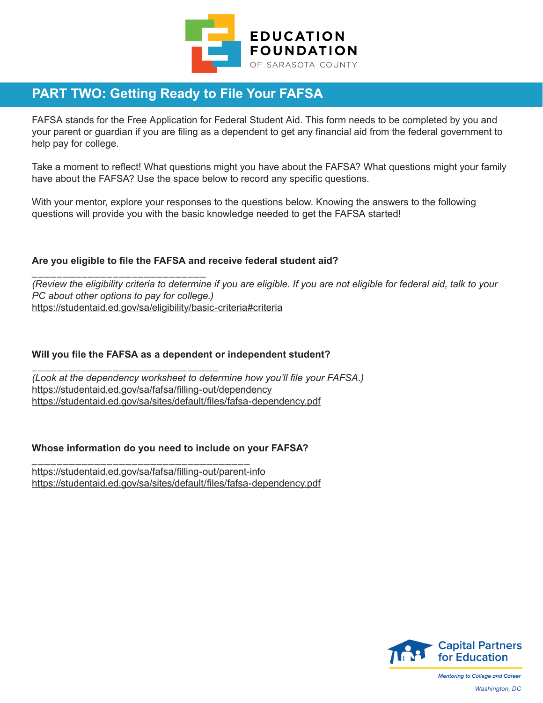

## **PART TWO: Getting Ready to File Your FAFSA**

FAFSA stands for the Free Application for Federal Student Aid. This form needs to be completed by you and your parent or guardian if you are filing as a dependent to get any financial aid from the federal government to help pay for college.

Take a moment to reflect! What questions might you have about the FAFSA? What questions might your family have about the FAFSA? Use the space below to record any specific questions.

With your mentor, explore your responses to the questions below. Knowing the answers to the following questions will provide you with the basic knowledge needed to get the FAFSA started!

#### **Are you eligible to file the FAFSA and receive federal student aid?**

\_\_\_\_\_\_\_\_\_\_\_\_\_\_\_\_\_\_\_\_\_\_\_\_\_\_\_\_ *(Review the eligibility criteria to determine if you are eligible. If you are not eligible for federal aid, talk to your PC about other options to pay for college.)*  https://studentaid.ed.gov/sa/eligibility/basic-criteria#criteria

#### **Will you file the FAFSA as a dependent or independent student?**

\_\_\_\_\_\_\_\_\_\_\_\_\_\_\_\_\_\_\_\_\_\_\_\_\_\_\_\_\_\_ *(Look at the dependency worksheet to determine how you'll file your FAFSA.)*  https://studentaid.ed.gov/sa/fafsa/filling-out/dependency https://studentaid.ed.gov/sa/sites/default/files/fafsa-dependency.pdf

#### **Whose information do you need to include on your FAFSA?**

\_\_\_\_\_\_\_\_\_\_\_\_\_\_\_\_\_\_\_\_\_\_\_\_\_\_\_\_\_\_\_\_\_\_\_ https://studentaid.ed.gov/sa/fafsa/filling-out/parent-info https://studentaid.ed.gov/sa/sites/default/files/fafsa-dependency.pdf



**Mentoring to College and Career** *Washington, DC*